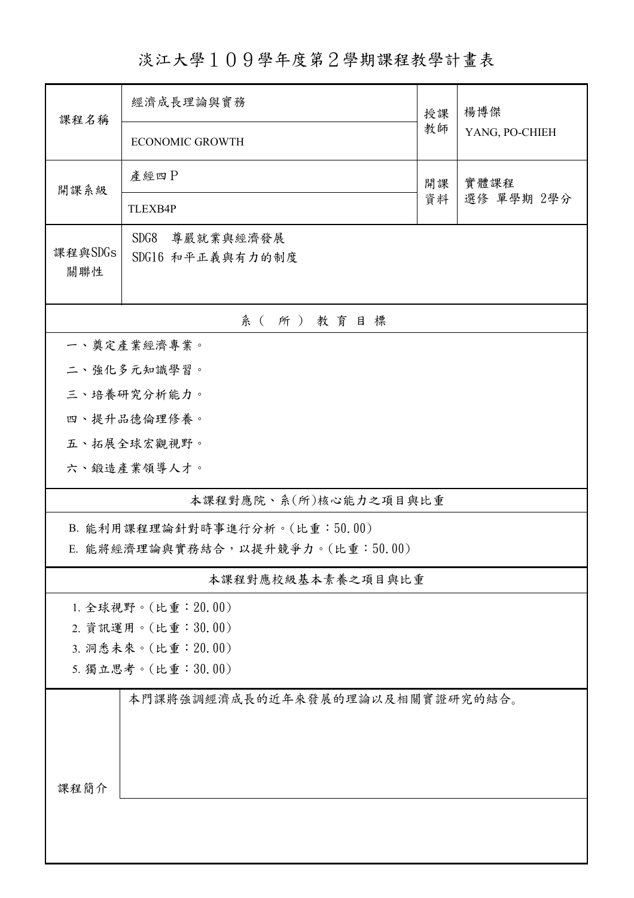淡江大學109學年度第2學期課程教學計畫表

| 課程名稱                                    | 經濟成長理論與實務                             |          | 楊博傑                |  |  |  |  |  |
|-----------------------------------------|---------------------------------------|----------|--------------------|--|--|--|--|--|
|                                         | <b>ECONOMIC GROWTH</b>                | 教師       | YANG, PO-CHIEH     |  |  |  |  |  |
| 開課系級                                    | 產經四P                                  | 開課<br>資料 | 實體課程<br>選修 單學期 2學分 |  |  |  |  |  |
|                                         | <b>TLEXB4P</b>                        |          |                    |  |  |  |  |  |
| 課程與SDGs<br>關聯性                          | SDG8<br>尊嚴就業與經濟發展<br>SDG16 和平正義與有力的制度 |          |                    |  |  |  |  |  |
| 系(所)教育目標                                |                                       |          |                    |  |  |  |  |  |
|                                         | 一、奠定產業經濟專業。                           |          |                    |  |  |  |  |  |
|                                         | 二、強化多元知識學習。                           |          |                    |  |  |  |  |  |
| 三、培養研究分析能力。                             |                                       |          |                    |  |  |  |  |  |
|                                         | 四、提升品德倫理修養。                           |          |                    |  |  |  |  |  |
|                                         | 五、拓展全球宏觀視野。                           |          |                    |  |  |  |  |  |
|                                         | 六、鍛造產業領導人才。                           |          |                    |  |  |  |  |  |
| 本課程對應院、系(所)核心能力之項目與比重                   |                                       |          |                    |  |  |  |  |  |
| B. 能利用課程理論針對時事進行分析。(比重:50.00)           |                                       |          |                    |  |  |  |  |  |
| E. 能將經濟理論與實務結合, 以提升競爭力。(比重:50.00)       |                                       |          |                    |  |  |  |  |  |
|                                         | 本課程對應校級基本素養之項目與比重                     |          |                    |  |  |  |  |  |
| 1. 全球視野。(比重: 20.00)                     |                                       |          |                    |  |  |  |  |  |
| 2. 資訊運用。(比重:30.00)                      |                                       |          |                    |  |  |  |  |  |
| 3. 洞悉未來。(比重: 20.00)                     |                                       |          |                    |  |  |  |  |  |
| 5. 獨立思考。(比重:30.00)                      |                                       |          |                    |  |  |  |  |  |
| 本門課將強調經濟成長的近年來發展的理論以及相關實證研究的結合。<br>課程簡介 |                                       |          |                    |  |  |  |  |  |
|                                         |                                       |          |                    |  |  |  |  |  |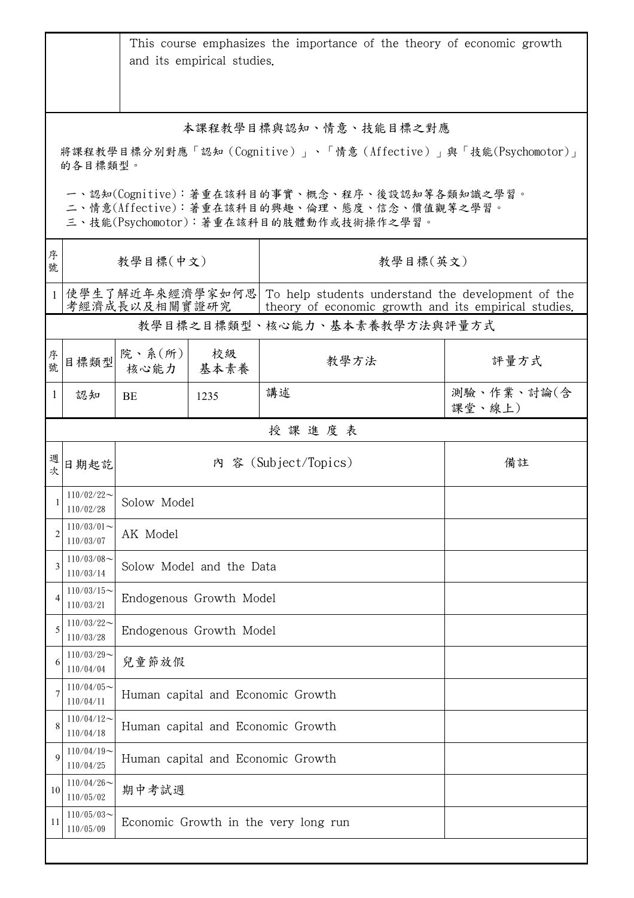|                                                                                                                                                   |                            |                                                                                                                                              | and its empirical studies.        | This course emphasizes the importance of the theory of economic growth |                      |  |  |
|---------------------------------------------------------------------------------------------------------------------------------------------------|----------------------------|----------------------------------------------------------------------------------------------------------------------------------------------|-----------------------------------|------------------------------------------------------------------------|----------------------|--|--|
| 本課程教學目標與認知、情意、技能目標之對應<br>將課程教學目標分別對應「認知(Cognitive)」、「情意(Affective)」與「技能(Psychomotor)」                                                             |                            |                                                                                                                                              |                                   |                                                                        |                      |  |  |
| 的各目標類型。<br>一、認知(Cognitive):著重在該科目的事實、概念、程序、後設認知等各類知識之學習。<br>二、情意(Affective):著重在該科目的興趣、倫理、態度、信念、價值觀等之學習。<br>三、技能(Psychomotor):著重在該科目的肢體動作或技術操作之學習。 |                            |                                                                                                                                              |                                   |                                                                        |                      |  |  |
| 序<br>號                                                                                                                                            | 教學目標(中文)                   |                                                                                                                                              |                                   | 教學目標(英文)                                                               |                      |  |  |
| $\mathbf{1}$                                                                                                                                      |                            | 使學生了解近年來經濟學家如何思  To help students understand the development of the<br>考經濟成長以及相關實證研究<br>theory of economic growth and its empirical studies. |                                   |                                                                        |                      |  |  |
|                                                                                                                                                   |                            |                                                                                                                                              |                                   | 教學目標之目標類型、核心能力、基本素養教學方法與評量方式                                           |                      |  |  |
| 序號                                                                                                                                                | 目標類型                       | 院、系(所)<br>核心能力                                                                                                                               | 校級<br>基本素養                        | 教學方法                                                                   | 評量方式                 |  |  |
| 1                                                                                                                                                 | 認知                         | BE                                                                                                                                           | 1235                              | 講述                                                                     | 測驗、作業、討論(含<br>課堂、線上) |  |  |
|                                                                                                                                                   |                            |                                                                                                                                              |                                   | 授課進度表                                                                  |                      |  |  |
| 週次                                                                                                                                                | 日期起訖                       |                                                                                                                                              |                                   | 內 容 (Subject/Topics)                                                   | 備註                   |  |  |
| $\mathbf{1}$                                                                                                                                      | $110/02/22$ ~<br>110/02/28 | Solow Model                                                                                                                                  |                                   |                                                                        |                      |  |  |
|                                                                                                                                                   | $110/03/01$ ~<br>110/03/07 | AK Model                                                                                                                                     |                                   |                                                                        |                      |  |  |
| 3                                                                                                                                                 | $110/03/08$ ~<br>110/03/14 | Solow Model and the Data                                                                                                                     |                                   |                                                                        |                      |  |  |
| 4                                                                                                                                                 | $110/03/15$ ~<br>110/03/21 | Endogenous Growth Model                                                                                                                      |                                   |                                                                        |                      |  |  |
| 5                                                                                                                                                 | $110/03/22$ ~<br>110/03/28 | Endogenous Growth Model                                                                                                                      |                                   |                                                                        |                      |  |  |
|                                                                                                                                                   | $110/03/29$ ~<br>110/04/04 | 兒童節放假                                                                                                                                        |                                   |                                                                        |                      |  |  |
|                                                                                                                                                   | $110/04/05$ ~<br>110/04/11 | Human capital and Economic Growth                                                                                                            |                                   |                                                                        |                      |  |  |
|                                                                                                                                                   | $110/04/12$ ~<br>110/04/18 |                                                                                                                                              | Human capital and Economic Growth |                                                                        |                      |  |  |
| $\mathbf Q$                                                                                                                                       | $110/04/19$ ~<br>110/04/25 | Human capital and Economic Growth                                                                                                            |                                   |                                                                        |                      |  |  |
| 10                                                                                                                                                | $110/04/26$ ~<br>110/05/02 | 期中考試週                                                                                                                                        |                                   |                                                                        |                      |  |  |
| 11                                                                                                                                                | $110/05/03$ ~<br>110/05/09 | Economic Growth in the very long run                                                                                                         |                                   |                                                                        |                      |  |  |
|                                                                                                                                                   |                            |                                                                                                                                              |                                   |                                                                        |                      |  |  |